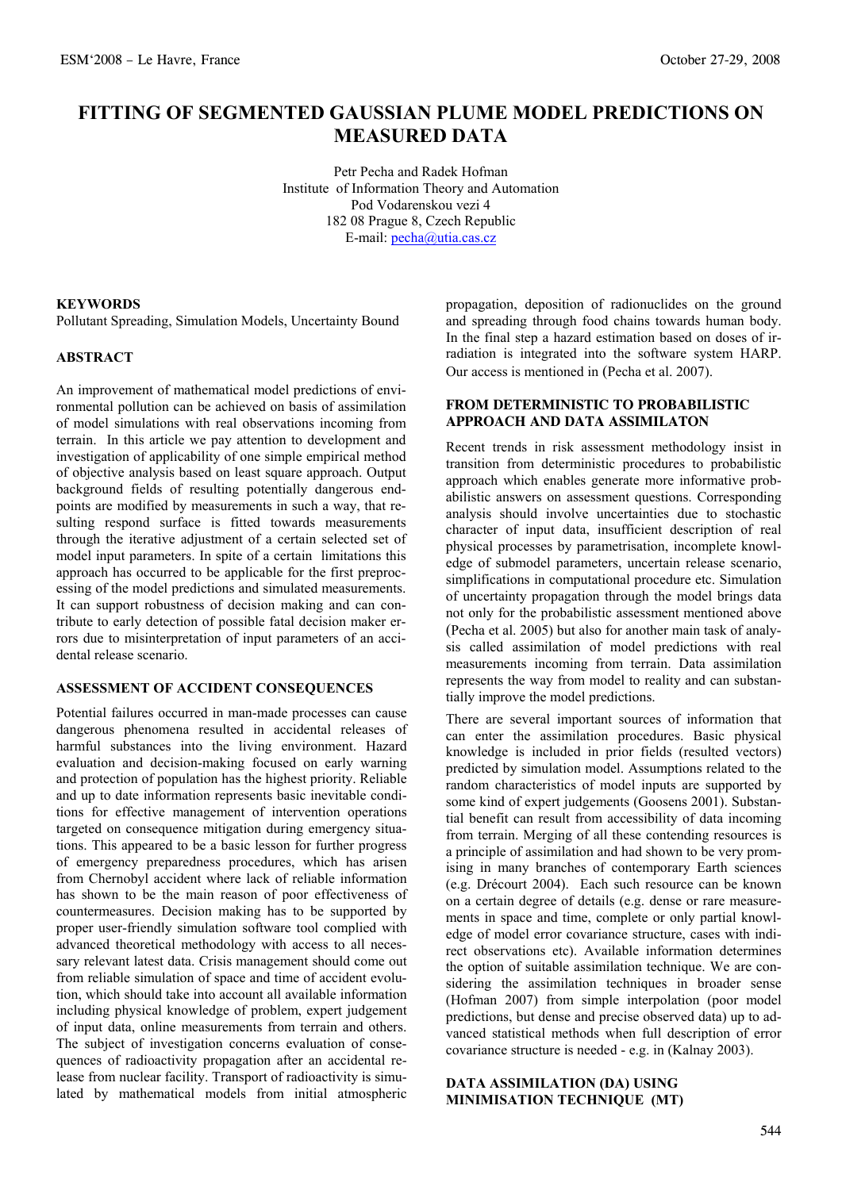# **FITTING OF SEGMENTED GAUSSIAN PLUME MODEL PREDICTIONS ON MEASURED DATA**

Petr Pecha and Radek Hofman Institute of Information Theory and Automation Pod Vodarenskou vezi 4 182 08 Prague 8, Czech Republic E-mail: [pecha@utia.cas.cz](mailto:pecha@utia.cas.cz)

#### **KEYWORDS**

Pollutant Spreading, Simulation Models, Uncertainty Bound

### **ABSTRACT**

An improvement of mathematical model predictions of environmental pollution can be achieved on basis of assimilation of model simulations with real observations incoming from terrain. In this article we pay attention to development and investigation of applicability of one simple empirical method of objective analysis based on least square approach. Output background fields of resulting potentially dangerous endpoints are modified by measurements in such a way, that resulting respond surface is fitted towards measurements through the iterative adjustment of a certain selected set of model input parameters. In spite of a certain limitations this approach has occurred to be applicable for the first preprocessing of the model predictions and simulated measurements. It can support robustness of decision making and can contribute to early detection of possible fatal decision maker errors due to misinterpretation of input parameters of an accidental release scenario.

# **ASSESSMENT OF ACCIDENT CONSEQUENCES**

Potential failures occurred in man-made processes can cause dangerous phenomena resulted in accidental releases of harmful substances into the living environment. Hazard evaluation and decision-making focused on early warning and protection of population has the highest priority. Reliable and up to date information represents basic inevitable conditions for effective management of intervention operations targeted on consequence mitigation during emergency situations. This appeared to be a basic lesson for further progress of emergency preparedness procedures, which has arisen from Chernobyl accident where lack of reliable information has shown to be the main reason of poor effectiveness of countermeasures. Decision making has to be supported by proper user-friendly simulation software tool complied with advanced theoretical methodology with access to all necessary relevant latest data. Crisis management should come out from reliable simulation of space and time of accident evolution, which should take into account all available information including physical knowledge of problem, expert judgement of input data, online measurements from terrain and others. The subject of investigation concerns evaluation of consequences of radioactivity propagation after an accidental release from nuclear facility. Transport of radioactivity is simulated by mathematical models from initial atmospheric

propagation, deposition of radionuclides on the ground and spreading through food chains towards human body. In the final step a hazard estimation based on doses of irradiation is integrated into the software system HARP. Our access is mentioned in (Pecha et al. 2007).

# **FROM DETERMINISTIC TO PROBABILISTIC APPROACH AND DATA ASSIMILATON**

Recent trends in risk assessment methodology insist in transition from deterministic procedures to probabilistic approach which enables generate more informative probabilistic answers on assessment questions. Corresponding analysis should involve uncertainties due to stochastic character of input data, insufficient description of real physical processes by parametrisation, incomplete knowledge of submodel parameters, uncertain release scenario, simplifications in computational procedure etc. Simulation of uncertainty propagation through the model brings data not only for the probabilistic assessment mentioned above (Pecha et al. 2005) but also for another main task of analysis called assimilation of model predictions with real measurements incoming from terrain. Data assimilation represents the way from model to reality and can substantially improve the model predictions.

There are several important sources of information that can enter the assimilation procedures. Basic physical knowledge is included in prior fields (resulted vectors) predicted by simulation model. Assumptions related to the random characteristics of model inputs are supported by some kind of expert judgements (Goosens 2001). Substantial benefit can result from accessibility of data incoming from terrain. Merging of all these contending resources is a principle of assimilation and had shown to be very promising in many branches of contemporary Earth sciences (e.g. Drécourt 2004). Each such resource can be known on a certain degree of details (e.g. dense or rare measurements in space and time, complete or only partial knowledge of model error covariance structure, cases with indirect observations etc). Available information determines the option of suitable assimilation technique. We are considering the assimilation techniques in broader sense (Hofman 2007) from simple interpolation (poor model predictions, but dense and precise observed data) up to advanced statistical methods when full description of error covariance structure is needed - e.g. in (Kalnay 2003).

#### **DATA ASSIMILATION (DA) USING MINIMISATION TECHNIQUE (MT)**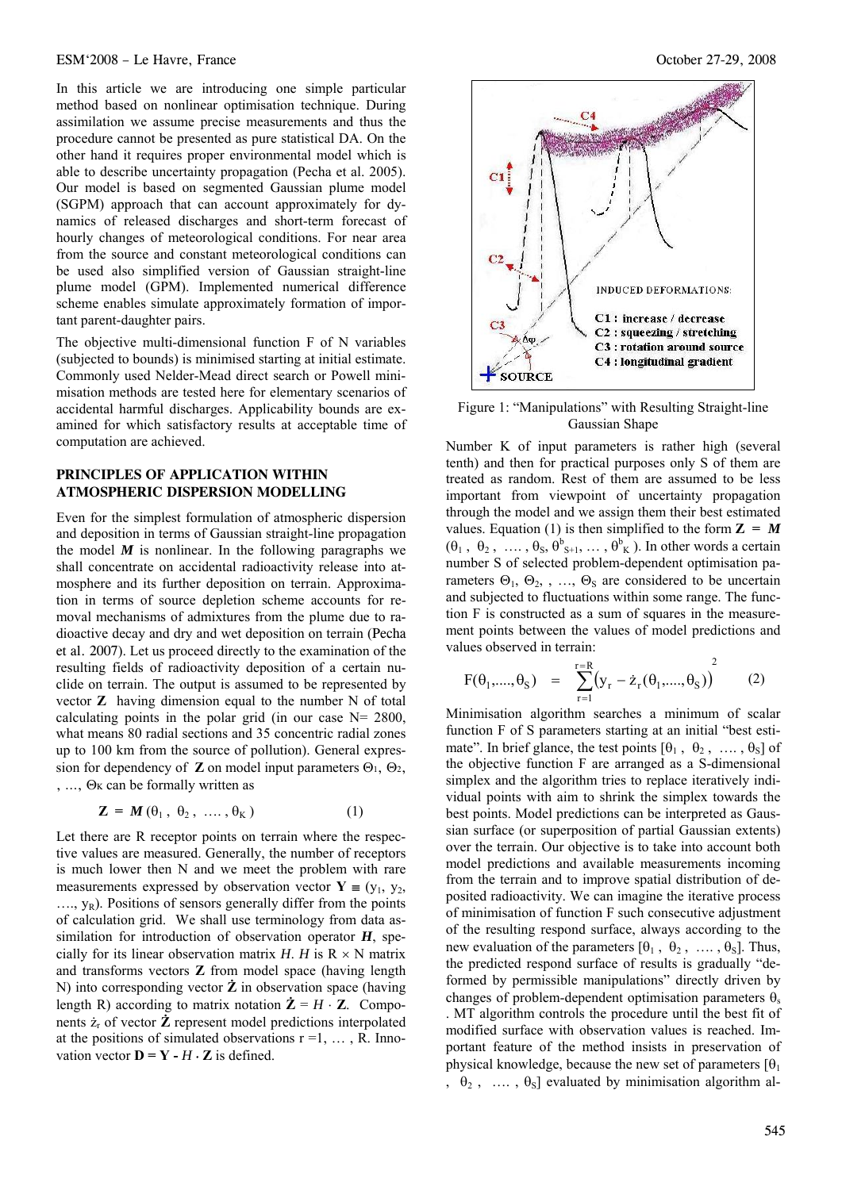#### ESM'2008 – Le Havre, France October 27-29, 2008

In this article we are introducing one simple particular method based on nonlinear optimisation technique. During assimilation we assume precise measurements and thus the procedure cannot be presented as pure statistical DA. On the other hand it requires proper environmental model which is able to describe uncertainty propagation (Pecha et al. 2005). Our model is based on segmented Gaussian plume model (SGPM) approach that can account approximately for dynamics of released discharges and short-term forecast of hourly changes of meteorological conditions. For near area from the source and constant meteorological conditions can be used also simplified version of Gaussian straight-line plume model (GPM). Implemented numerical difference scheme enables simulate approximately formation of important parent-daughter pairs.

The objective multi-dimensional function F of N variables (subjected to bounds) is minimised starting at initial estimate. Commonly used Nelder-Mead direct search or Powell minimisation methods are tested here for elementary scenarios of accidental harmful discharges. Applicability bounds are examined for which satisfactory results at acceptable time of computation are achieved.

## **PRINCIPLES OF APPLICATION WITHIN ATMOSPHERIC DISPERSION MODELLING**

Even for the simplest formulation of atmospheric dispersion and deposition in terms of Gaussian straight-line propagation the model  $M$  is nonlinear. In the following paragraphs we shall concentrate on accidental radioactivity release into atmosphere and its further deposition on terrain. Approximation in terms of source depletion scheme accounts for removal mechanisms of admixtures from the plume due to radioactive decay and dry and wet deposition on terrain (Pecha et al. 2007). Let us proceed directly to the examination of the resulting fields of radioactivity deposition of a certain nuclide on terrain. The output is assumed to be represented by vector **Z** having dimension equal to the number N of total calculating points in the polar grid (in our case  $N = 2800$ , what means 80 radial sections and 35 concentric radial zones up to 100 km from the source of pollution). General expression for dependency of **Z** on model input parameters  $\Theta_1$ ,  $\Theta_2$ , , ..., Θκ can be formally written as

$$
\mathbf{Z} = \mathbf{M}(\theta_1, \ \theta_2, \ \ldots, \theta_K) \tag{1}
$$

Let there are R receptor points on terrain where the respective values are measured. Generally, the number of receptors is much lower then N and we meet the problem with rare measurements expressed by observation vector  $Y = (y_1, y_2,$  $..., y_R$ ). Positions of sensors generally differ from the points of calculation grid. We shall use terminology from data assimilation for introduction of observation operator *H*, specially for its linear observation matrix *H*. *H* is  $R \times N$  matrix and transforms vectors **Z** from model space (having length N) into corresponding vector **Ż** in observation space (having length R) according to matrix notation  $\dot{\mathbf{Z}} = H \cdot \mathbf{Z}$ . Components  $\dot{z}_r$  of vector  $\dot{z}$  represent model predictions interpolated at the positions of simulated observations  $r = 1, \ldots, R$ . Innovation vector  $\mathbf{D} = \mathbf{Y} - H \cdot \mathbf{Z}$  is defined.



Figure 1: "Manipulations" with Resulting Straight-line Gaussian Shape

Number K of input parameters is rather high (several tenth) and then for practical purposes only S of them are treated as random. Rest of them are assumed to be less important from viewpoint of uncertainty propagation through the model and we assign them their best estimated values. Equation (1) is then simplified to the form  $Z = M$  $(\theta_1, \theta_2, \dots, \theta_s, \theta_{s+1}^b, \dots, \theta_K^b)$ . In other words a certain number S of selected problem-dependent optimisation parameters  $\Theta_1$ ,  $\Theta_2$ , , ...,  $\Theta_5$  are considered to be uncertain and subjected to fluctuations within some range. The function F is constructed as a sum of squares in the measurement points between the values of model predictions and values observed in terrain:

$$
F(\theta_1, \dots, \theta_S) = \sum_{r=1}^{r=R} (y_r - \dot{z}_r(\theta_1, \dots, \theta_S))^{2}
$$
 (2)

Minimisation algorithm searches a minimum of scalar function F of S parameters starting at an initial "best estimate". In brief glance, the test points  $[\theta_1, \theta_2, \dots, \theta_s]$  of the objective function F are arranged as a S-dimensional simplex and the algorithm tries to replace iteratively individual points with aim to shrink the simplex towards the best points. Model predictions can be interpreted as Gaussian surface (or superposition of partial Gaussian extents) over the terrain. Our objective is to take into account both model predictions and available measurements incoming from the terrain and to improve spatial distribution of deposited radioactivity. We can imagine the iterative process of minimisation of function F such consecutive adjustment of the resulting respond surface, always according to the new evaluation of the parameters  $[\theta_1, \theta_2, \dots, \theta_s]$ . Thus, the predicted respond surface of results is gradually "deformed by permissible manipulations" directly driven by changes of problem-dependent optimisation parameters  $\theta_s$ . MT algorithm controls the procedure until the best fit of modified surface with observation values is reached. Important feature of the method insists in preservation of physical knowledge, because the new set of parameters  $[\theta_1]$ ,  $\theta_2$ , ...,  $\theta_5$ ] evaluated by minimisation algorithm al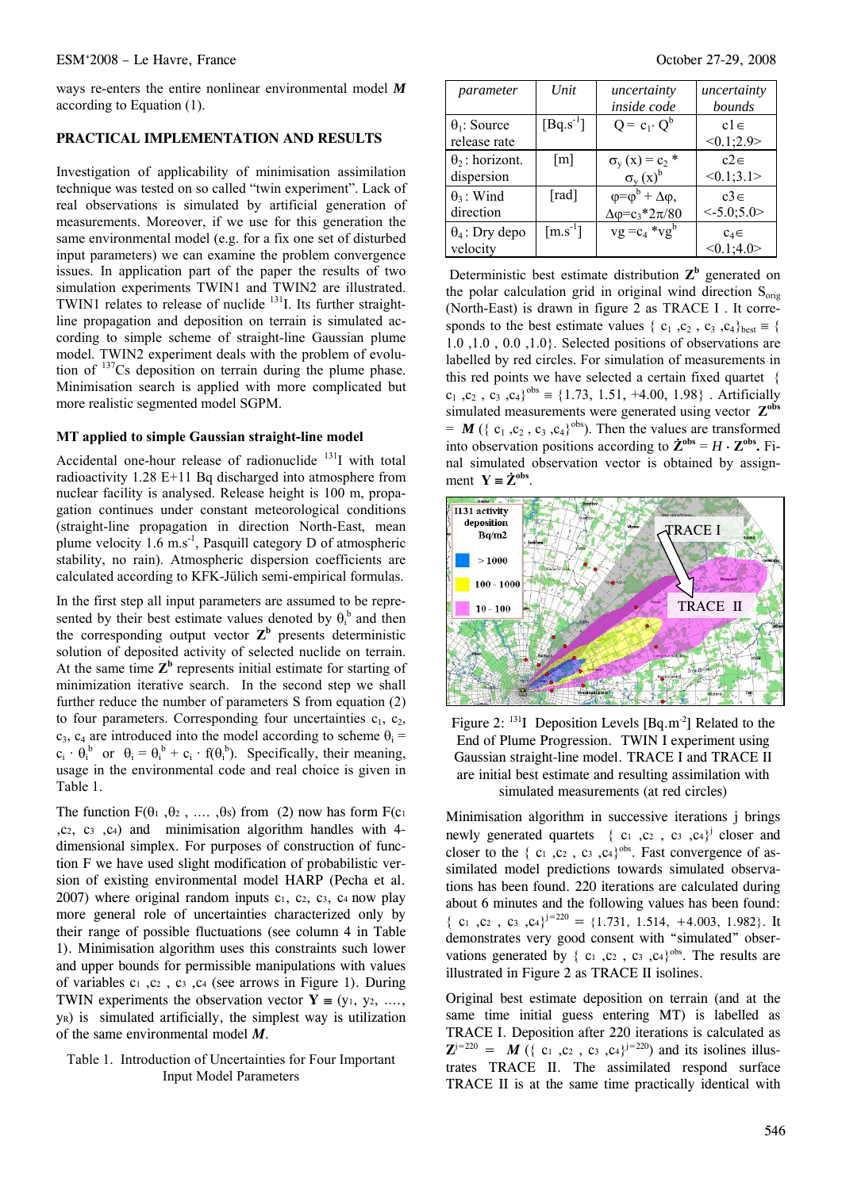ways re-enters the entire nonlinear environmental model *M* according to Equation (1).

#### **PRACTICAL IMPLEMENTATION AND RESULTS**

Investigation of applicability of minimisation assimilation technique was tested on so called "twin experiment". Lack of real observations is simulated by artificial generation of measurements. Moreover, if we use for this generation the same environmental model (e.g. for a fix one set of disturbed input parameters) we can examine the problem convergence issues. In application part of the paper the results of two simulation experiments TWIN1 and TWIN2 are illustrated. TWIN1 relates to release of nuclide <sup>131</sup>I. Its further straightline propagation and deposition on terrain is simulated according to simple scheme of straight-line Gaussian plume model. TWIN2 experiment deals with the problem of evolution of 137Cs deposition on terrain during the plume phase. Minimisation search is applied with more complicated but more realistic segmented model SGPM.

#### **MT applied to simple Gaussian straight-line model**

Accidental one-hour release of radionuclide  $131$  with total radioactivity  $1.28$  E+11 Bq discharged into atmosphere from nuclear facility is analysed. Release height is 100 m, propagation continues under constant meteorological conditions (straight-line propagation in direction North-East, mean plume velocity  $1.6 \text{ m.s}^{-1}$ , Pasquill category D of atmospheric stability, no rain). Atmospheric dispersion coefficients are calculated according to KFK-Jülich semi-empirical formulas.

In the first step all input parameters are assumed to be represented by their best estimate values denoted by  $\theta_i^b$  and then the corresponding output vector  $\mathbf{Z}^{\mathbf{b}}$  presents deterministic solution of deposited activity of selected nuclide on terrain. At the same time  $\mathbb{Z}^b$  represents initial estimate for starting of minimization iterative search. In the second step we shall further reduce the number of parameters S from equation (2) to four parameters. Corresponding four uncertainties  $c_1$ ,  $c_2$ ,  $c_3$ ,  $c_4$  are introduced into the model according to scheme  $\theta_i =$  $c_i \cdot \theta_i^b$  or  $\theta_i = \theta_i^b + c_i \cdot f(\theta_i^b)$ . Specifically, their meaning, usage in the environmental code and real choice is given in Table 1.

The function  $F(\theta_1, \theta_2, \ldots, \theta_s)$  from (2) now has form  $F(c_1)$ ,c2, c3 ,c4) and minimisation algorithm handles with 4 dimensional simplex. For purposes of construction of function F we have used slight modification of probabilistic version of existing environmental model HARP (Pecha et al.  $2007$ ) where original random inputs c<sub>1</sub>, c<sub>2</sub>, c<sub>3</sub>, c<sub>4</sub> now play more general role of uncertainties characterized only by their range of possible fluctuations (see column 4 in Table 1). Minimisation algorithm uses this constraints such lower and upper bounds for permissible manipulations with values of variables  $c_1$ ,  $c_2$ ,  $c_3$ ,  $c_4$  (see arrows in Figure 1). During TWIN experiments the observation vector  $Y = (y_1, y_2, \ldots, y_n)$ yR) is simulated artificially, the simplest way is utilization of the same environmental model *M*.

## Table 1. Introduction of Uncertainties for Four Important Input Model Parameters

| parameter                            | Unit                           | uncertainty<br>inside code                                                 | uncertainty<br>bounds     |
|--------------------------------------|--------------------------------|----------------------------------------------------------------------------|---------------------------|
| $\theta_1$ : Source<br>release rate  | $[Bq.s^{-1}]$                  | $Q = c_1 \cdot Q^b$                                                        | $c1 \in$<br><0.1;2.9>     |
| $\theta_2$ : horizont.<br>dispersion | $\lceil m \rceil$              | $\sigma_{v}(x) = c_{2} *$<br>$\sigma_{v}(x)^{b}$                           | $c2 \in$<br><0.1;3.1>     |
| $\theta_3$ : Wind<br>direction       | $\lceil \text{rad} \rceil$     | $\varphi = \varphi^b + \Delta \varphi$ ,<br>$\Delta \varphi = c_3*2\pi/80$ | $c3 \in$<br>$< -5.0;5.0>$ |
| $\theta_4$ : Dry depo<br>velocity    | $\left[\text{m.s}^{-1}\right]$ | $vg = c_4 * v g^b$                                                         | $c_4 \in$<br><0.1;4.0>    |

Deterministic best estimate distribution  $\mathbb{Z}^b$  generated on the polar calculation grid in original wind direction  $S_{\text{orig}}$ (North-East) is drawn in figure 2 as TRACE I . It corresponds to the best estimate values {  $c_1$ ,  $c_2$ ,  $c_3$ ,  $c_4$ }<sub>best</sub> = { 1.0 ,1.0 , 0.0 ,1.0}. Selected positions of observations are labelled by red circles. For simulation of measurements in this red points we have selected a certain fixed quartet {  $c_1$ ,  $c_2$ ,  $c_3$ ,  $c_4$ <sup>obs</sup> = {1.73, 1.51, +4.00, 1.98}. Artificially simulated measurements were generated using vector Z<sup>obs</sup>  $=$  *M* ({ $c_1$ , $c_2$ , $c_3$ , $c_4$ }<sup>obs</sup>). Then the values are transformed into observation positions according to  $\mathbf{\dot{Z}}^{\text{obs}} = H \cdot \mathbf{Z}^{\text{obs}}$ . Final simulated observation vector is obtained by assignment  $Y = \dot{Z}^{obs}$ .



Figure 2:  $^{131}I$  Deposition Levels [Bq.m<sup>-2</sup>] Related to the End of Plume Progression. TWIN I experiment using Gaussian straight-line model. TRACE I and TRACE II are initial best estimate and resulting assimilation with simulated measurements (at red circles)

Minimisation algorithm in successive iterations j brings newly generated quartets {  $c_1$  ,  $c_2$  ,  $c_3$  ,  $c_4$ }<sup>j</sup> closer and closer to the  $\{c_1, c_2, c_3, c_4\}$ <sup>obs</sup>. Fast convergence of assimilated model predictions towards simulated observations has been found. 220 iterations are calculated during about 6 minutes and the following values has been found:  $\{c_1, c_2, c_3, c_4\}^{j=220} = \{1.731, 1.514, +4.003, 1.982\}$ . It demonstrates very good consent with "simulated" observations generated by  $\{c_1, c_2, c_3, c_4\}^{obs}$ . The results are illustrated in Figure 2 as TRACE II isolines.

Original best estimate deposition on terrain (and at the same time initial guess entering MT) is labelled as TRACE I. Deposition after 220 iterations is calculated as  $\mathbf{Z}^{j=220} = \mathbf{M}$  ({ c<sub>1</sub>,c<sub>2</sub>, c<sub>3</sub>,c<sub>4</sub>}<sup>j=220</sup>) and its isolines illustrates TRACE II. The assimilated respond surface TRACE II is at the same time practically identical with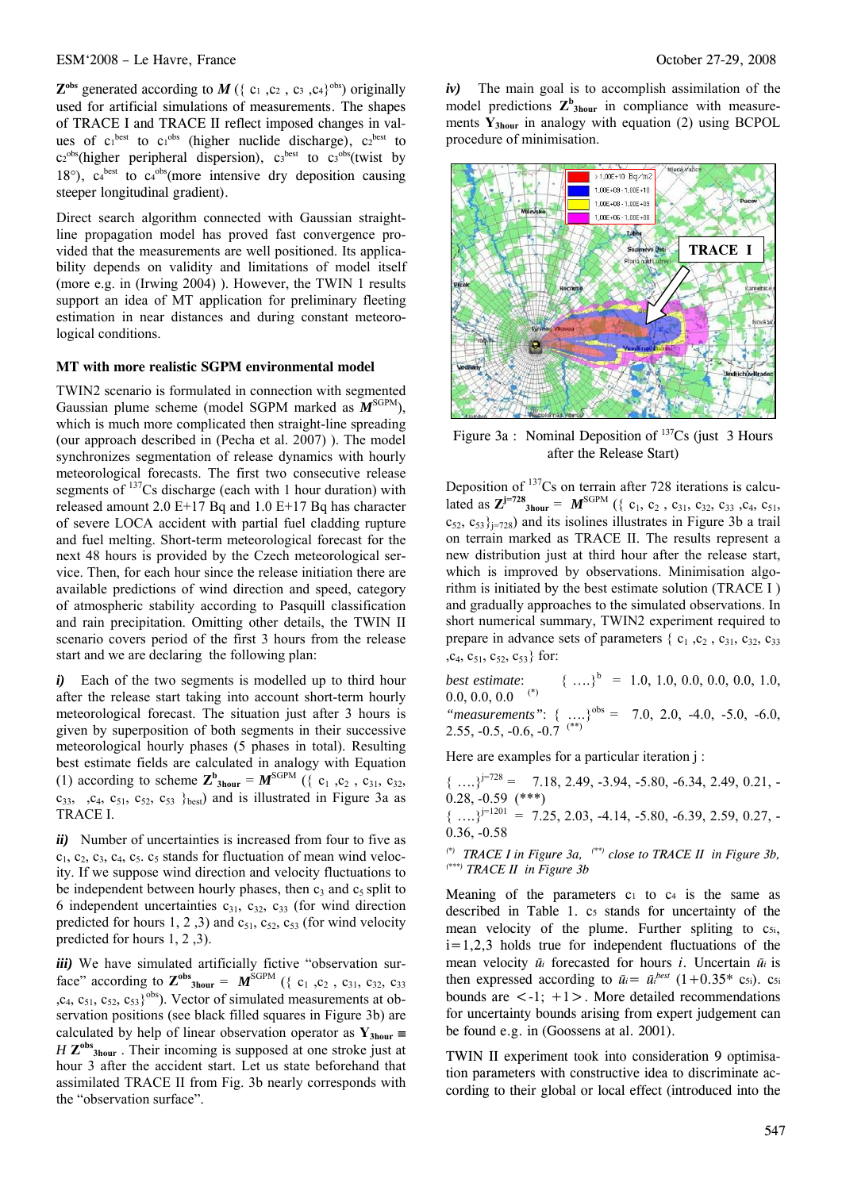### ESM'2008 – Le Havre, France October 27-29, 2008

 $\mathbf{Z}^{\text{obs}}$  generated according to  $M$  ({ c<sub>1</sub>,c<sub>2</sub>, c<sub>3</sub>,c<sub>4</sub>}<sup>obs</sup>) originally used for artificial simulations of measurements. The shapes of TRACE I and TRACE II reflect imposed changes in values of  $c_1^{best}$  to  $c_1^{obs}$  (higher nuclide discharge),  $c_2^{best}$  to  $c_2^{\text{obs}}$ (higher peripheral dispersion),  $c_3^{\text{best}}$  to  $c_3^{\text{obs}}$ (twist by 18 $^{\circ}$ ),  $c_4^{\text{best}}$  to  $c_4^{\text{obs}}$  (more intensive dry deposition causing steeper longitudinal gradient).

Direct search algorithm connected with Gaussian straightline propagation model has proved fast convergence provided that the measurements are well positioned. Its applicability depends on validity and limitations of model itself (more e.g. in (Irwing 2004) ). However, the TWIN 1 results support an idea of MT application for preliminary fleeting estimation in near distances and during constant meteorological conditions.

#### **MT with more realistic SGPM environmental model**

TWIN2 scenario is formulated in connection with segmented Gaussian plume scheme (model SGPM marked as  $M^{\text{SGPM}}$ ), which is much more complicated then straight-line spreading (our approach described in (Pecha et al. 2007) ). The model synchronizes segmentation of release dynamics with hourly meteorological forecasts. The first two consecutive release segments of  $137Cs$  discharge (each with 1 hour duration) with released amount 2.0  $E+17$  Bq and 1.0  $E+17$  Bq has character of severe LOCA accident with partial fuel cladding rupture and fuel melting. Short-term meteorological forecast for the next 48 hours is provided by the Czech meteorological service. Then, for each hour since the release initiation there are available predictions of wind direction and speed, category of atmospheric stability according to Pasquill classification and rain precipitation. Omitting other details, the TWIN II scenario covers period of the first 3 hours from the release start and we are declaring the following plan:

*i)* Each of the two segments is modelled up to third hour after the release start taking into account short-term hourly meteorological forecast. The situation just after 3 hours is given by superposition of both segments in their successive meteorological hourly phases (5 phases in total). Resulting best estimate fields are calculated in analogy with Equation (1) according to scheme  $\mathbb{Z}_{3\text{hour}}^{\text{b}} = \mathbb{M}^{\text{SGPM}}$  ({ c<sub>1</sub>, c<sub>2</sub>, c<sub>31</sub>, c<sub>32</sub>,  $c_{33}$ ,  $c_{4}$ ,  $c_{51}$ ,  $c_{52}$ ,  $c_{53}$  }<sub>best</sub>) and is illustrated in Figure 3a as TRACE I.

*ii*) Number of uncertainties is increased from four to five as  $c_1$ ,  $c_2$ ,  $c_3$ ,  $c_4$ ,  $c_5$ ,  $c_5$  stands for fluctuation of mean wind velocity. If we suppose wind direction and velocity fluctuations to be independent between hourly phases, then  $c_3$  and  $c_5$  split to 6 independent uncertainties  $c_{31}$ ,  $c_{32}$ ,  $c_{33}$  (for wind direction predicted for hours 1, 2, 3) and  $c_{51}$ ,  $c_{52}$ ,  $c_{53}$  (for wind velocity predicted for hours 1, 2 ,3).

*iii*) We have simulated artificially fictive "observation surface" according to  $\mathbf{Z}^{\text{obs}}$ <sub>3hour</sub> =  $\mathbf{M}^{\text{SGPM}}$  ({ c<sub>1</sub>, c<sub>2</sub>, c<sub>31</sub>, c<sub>32</sub>, c<sub>33</sub>  $,c_4, c_{51}, c_{52}, c_{53}$ <sup>obs</sup>). Vector of simulated measurements at observation positions (see black filled squares in Figure 3b) are calculated by help of linear observation operator as  $Y_{3hour}$  = *H*  $\mathbb{Z}^{obs}$ <sub>3hour</sub>. Their incoming is supposed at one stroke just at hour 3 after the accident start. Let us state beforehand that assimilated TRACE II from Fig. 3b nearly corresponds with the "observation surface".

*iv)* The main goal is to accomplish assimilation of the model predictions  $\mathbb{Z}_{3\text{hour}}^{\text{b}}$  in compliance with measurements **Y3hour** in analogy with equation (2) using BCPOL procedure of minimisation.



Figure 3a : Nominal Deposition of  $137Cs$  (just 3 Hours after the Release Start)

Deposition of  $137$ Cs on terrain after 728 iterations is calculated as  $\mathbf{Z}^{\mathbf{j}=728}$ <sub>3hour</sub> =  $\mathbf{M}^{\text{SGPM}}$  ({ c<sub>1</sub>, c<sub>2</sub>, c<sub>31</sub>, c<sub>32</sub>, c<sub>33</sub>, c<sub>4</sub>, c<sub>51</sub>,  $c_{52}$ ,  $c_{53}$ <sub>i=728</sub>) and its isolines illustrates in Figure 3b a trail on terrain marked as TRACE II. The results represent a new distribution just at third hour after the release start, which is improved by observations. Minimisation algorithm is initiated by the best estimate solution (TRACE I ) and gradually approaches to the simulated observations. In short numerical summary, TWIN2 experiment required to prepare in advance sets of parameters  $\{c_1, c_2, c_3, c_3, c_3, c_4, c_5, c_6, c_7, c_8, c_9, c_{10}, c_{11}, c_{12}, c_{13}, c_{14}, c_{15}, c_{16}, c_{17}, c_{18}, c_{19}, c_{10}, c_{11}, c_{12}, c_{13}, c_{14}, c_{15}, c_{16}, c_{17}, c_{18}, c_{19}, c_{10}, c_{11}, c_{12}, c_{13}, c_{14}, c_{15}, c_{16}, c$ , $c_4$ ,  $c_{51}$ ,  $c_{52}$ ,  $c_{53}$ } for:

*best estimate*:  $\{ \ldots \}$ <sup>b</sup> = 1.0, 1.0, 0.0, 0.0, 0.0, 1.0,  $0.0, 0.0, 0.0$ <sup>(\*)</sup> "measurements": { ....}<sup>obs</sup> = 7.0, 2.0, -4.0, -5.0, -6.0, 2.55,  $-0.5$ ,  $-0.6$ ,  $-0.7$ <sup>(\*\*)</sup>)

Here are examples for a particular iteration j:

 ${\binom{1}{2}}^{j=728}$  = 7.18, 2.49, -3.94, -5.80, -6.34, 2.49, 0.21, -0.28, -0.59 (\*\*\*)  ${\ldots}$ <sup> $j=1201$ </sup> = 7.25, 2.03, -4.14, -5.80, -6.39, 2.59, 0.27, -0.36, -0.58

*(\*) TRACE I in Figure 3a, (\*\*) close to TRACE II in Figure 3b, (\*\*\*) TRACE II in Figure 3b*

Meaning of the parameters  $c_1$  to  $c_4$  is the same as described in Table 1. c<sub>5</sub> stands for uncertainty of the mean velocity of the plume. Further spliting to c<sub>5i</sub>,  $i=1,2,3$  holds true for independent fluctuations of the mean velocity *ūi* forecasted for hours *i*. Uncertain *ū<sup>i</sup>* is then expressed according to  $\bar{u}_i = \bar{u}_i^{best}$  (1+0.35\* c<sub>5i</sub>). c<sub>5i</sub> bounds are  $\leq -1$ ;  $+1$  >. More detailed recommendations for uncertainty bounds arising from expert judgement can be found e.g. in (Goossens at al. 2001).

TWIN II experiment took into consideration 9 optimisation parameters with constructive idea to discriminate according to their global or local effect (introduced into the